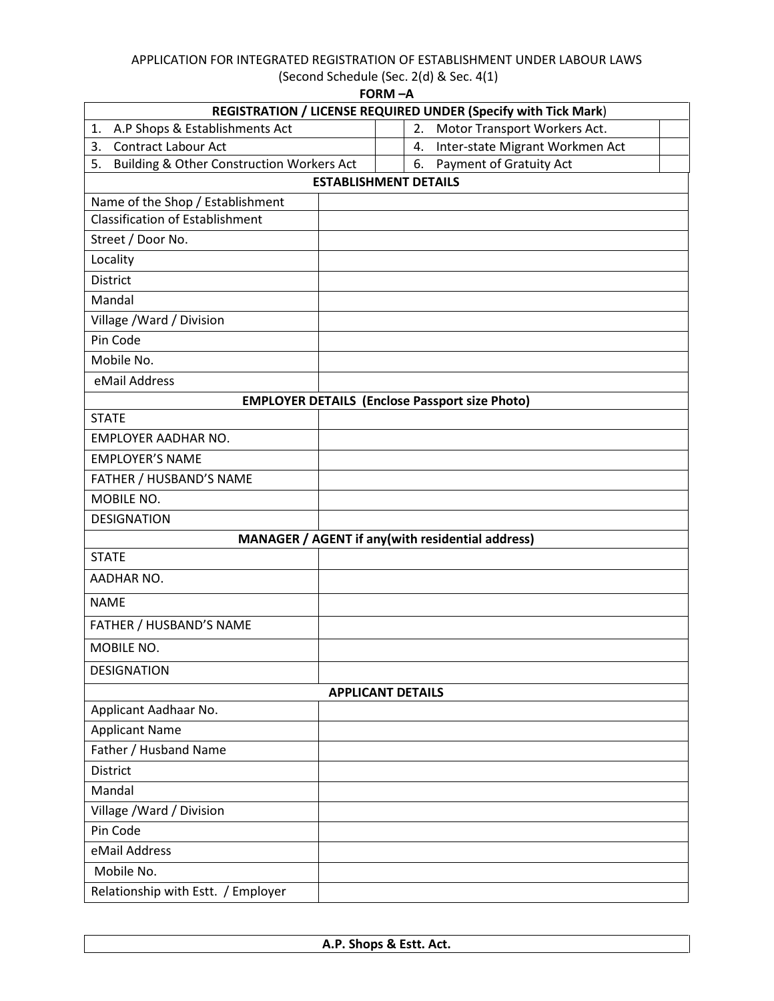## APPLICATION FOR INTEGRATED REGISTRATION OF ESTABLISHMENT UNDER LABOUR LAWS

 (Second Schedule (Sec. 2(d) & Sec. 4(1)  $FORM - A$ 

|                                                 | runivi — A<br>REGISTRATION / LICENSE REQUIRED UNDER (Specify with Tick Mark) |  |  |  |  |  |
|-------------------------------------------------|------------------------------------------------------------------------------|--|--|--|--|--|
| A.P Shops & Establishments Act<br>1.            | Motor Transport Workers Act.<br>2.                                           |  |  |  |  |  |
| <b>Contract Labour Act</b><br>3.                | Inter-state Migrant Workmen Act<br>4.                                        |  |  |  |  |  |
| 5.<br>Building & Other Construction Workers Act | Payment of Gratuity Act<br>6.                                                |  |  |  |  |  |
| <b>ESTABLISHMENT DETAILS</b>                    |                                                                              |  |  |  |  |  |
| Name of the Shop / Establishment                |                                                                              |  |  |  |  |  |
| <b>Classification of Establishment</b>          |                                                                              |  |  |  |  |  |
| Street / Door No.                               |                                                                              |  |  |  |  |  |
| Locality                                        |                                                                              |  |  |  |  |  |
| <b>District</b>                                 |                                                                              |  |  |  |  |  |
| Mandal                                          |                                                                              |  |  |  |  |  |
| Village / Ward / Division                       |                                                                              |  |  |  |  |  |
| Pin Code                                        |                                                                              |  |  |  |  |  |
| Mobile No.                                      |                                                                              |  |  |  |  |  |
| eMail Address                                   |                                                                              |  |  |  |  |  |
|                                                 | <b>EMPLOYER DETAILS (Enclose Passport size Photo)</b>                        |  |  |  |  |  |
| <b>STATE</b>                                    |                                                                              |  |  |  |  |  |
| EMPLOYER AADHAR NO.                             |                                                                              |  |  |  |  |  |
| <b>EMPLOYER'S NAME</b>                          |                                                                              |  |  |  |  |  |
| FATHER / HUSBAND'S NAME                         |                                                                              |  |  |  |  |  |
| MOBILE NO.                                      |                                                                              |  |  |  |  |  |
| <b>DESIGNATION</b>                              |                                                                              |  |  |  |  |  |
|                                                 | MANAGER / AGENT if any (with residential address)                            |  |  |  |  |  |
| <b>STATE</b>                                    |                                                                              |  |  |  |  |  |
| AADHAR NO.                                      |                                                                              |  |  |  |  |  |
| <b>NAME</b>                                     |                                                                              |  |  |  |  |  |
| FATHER / HUSBAND'S NAME                         |                                                                              |  |  |  |  |  |
| MOBILE NO.                                      |                                                                              |  |  |  |  |  |
| <b>DESIGNATION</b>                              |                                                                              |  |  |  |  |  |
|                                                 | <b>APPLICANT DETAILS</b>                                                     |  |  |  |  |  |
| Applicant Aadhaar No.                           |                                                                              |  |  |  |  |  |
| <b>Applicant Name</b>                           |                                                                              |  |  |  |  |  |
| Father / Husband Name                           |                                                                              |  |  |  |  |  |
| <b>District</b>                                 |                                                                              |  |  |  |  |  |
| Mandal                                          |                                                                              |  |  |  |  |  |
| Village / Ward / Division                       |                                                                              |  |  |  |  |  |
| Pin Code                                        |                                                                              |  |  |  |  |  |
| eMail Address                                   |                                                                              |  |  |  |  |  |
| Mobile No.                                      |                                                                              |  |  |  |  |  |
| Relationship with Estt. / Employer              |                                                                              |  |  |  |  |  |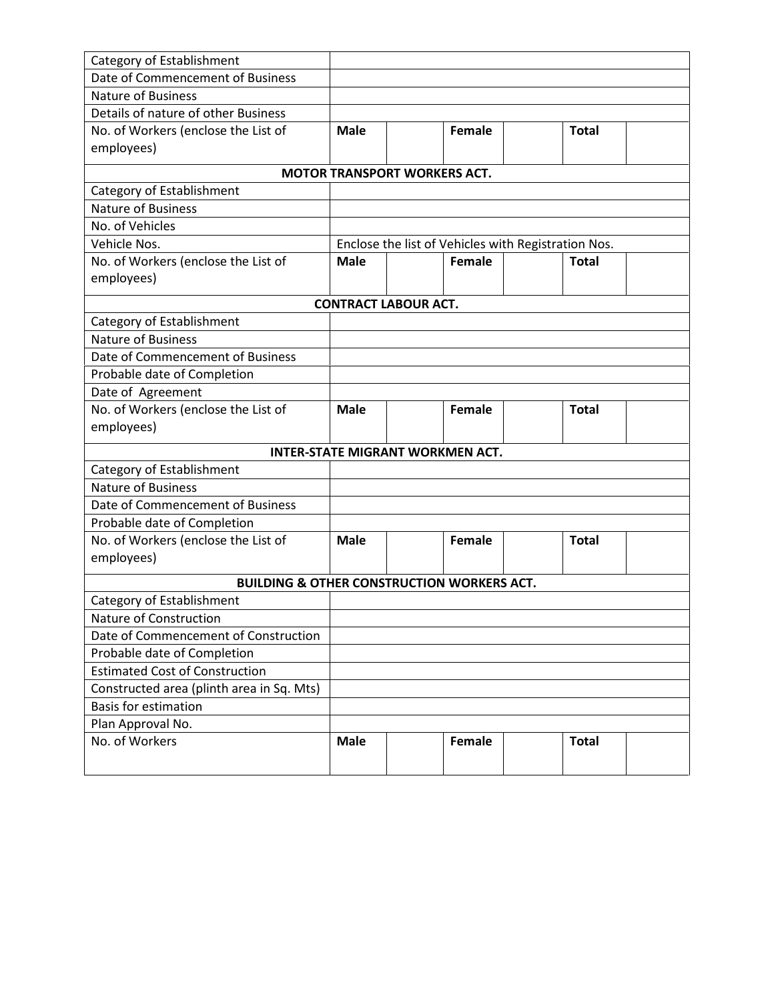| Category of Establishment                              |             |  |               |                                                     |              |  |
|--------------------------------------------------------|-------------|--|---------------|-----------------------------------------------------|--------------|--|
| Date of Commencement of Business                       |             |  |               |                                                     |              |  |
| <b>Nature of Business</b>                              |             |  |               |                                                     |              |  |
| Details of nature of other Business                    |             |  |               |                                                     |              |  |
| No. of Workers (enclose the List of                    | <b>Male</b> |  | Female        |                                                     | <b>Total</b> |  |
| employees)                                             |             |  |               |                                                     |              |  |
|                                                        |             |  |               |                                                     |              |  |
| <b>MOTOR TRANSPORT WORKERS ACT.</b>                    |             |  |               |                                                     |              |  |
| Category of Establishment<br><b>Nature of Business</b> |             |  |               |                                                     |              |  |
| No. of Vehicles                                        |             |  |               |                                                     |              |  |
| Vehicle Nos.                                           |             |  |               | Enclose the list of Vehicles with Registration Nos. |              |  |
| No. of Workers (enclose the List of                    | <b>Male</b> |  | Female        |                                                     | <b>Total</b> |  |
| employees)                                             |             |  |               |                                                     |              |  |
|                                                        |             |  |               |                                                     |              |  |
| <b>CONTRACT LABOUR ACT.</b>                            |             |  |               |                                                     |              |  |
| Category of Establishment                              |             |  |               |                                                     |              |  |
| Nature of Business                                     |             |  |               |                                                     |              |  |
| Date of Commencement of Business                       |             |  |               |                                                     |              |  |
| Probable date of Completion                            |             |  |               |                                                     |              |  |
| Date of Agreement                                      |             |  |               |                                                     |              |  |
| No. of Workers (enclose the List of                    | <b>Male</b> |  | Female        |                                                     | <b>Total</b> |  |
| employees)                                             |             |  |               |                                                     |              |  |
| <b>INTER-STATE MIGRANT WORKMEN ACT.</b>                |             |  |               |                                                     |              |  |
| Category of Establishment                              |             |  |               |                                                     |              |  |
| <b>Nature of Business</b>                              |             |  |               |                                                     |              |  |
| Date of Commencement of Business                       |             |  |               |                                                     |              |  |
| Probable date of Completion                            |             |  |               |                                                     |              |  |
| No. of Workers (enclose the List of                    | <b>Male</b> |  | <b>Female</b> |                                                     | <b>Total</b> |  |
| employees)                                             |             |  |               |                                                     |              |  |
| <b>BUILDING &amp; OTHER CONSTRUCTION WORKERS ACT.</b>  |             |  |               |                                                     |              |  |
| Category of Establishment                              |             |  |               |                                                     |              |  |
| Nature of Construction                                 |             |  |               |                                                     |              |  |
| Date of Commencement of Construction                   |             |  |               |                                                     |              |  |
| Probable date of Completion                            |             |  |               |                                                     |              |  |
| <b>Estimated Cost of Construction</b>                  |             |  |               |                                                     |              |  |
| Constructed area (plinth area in Sq. Mts)              |             |  |               |                                                     |              |  |
| <b>Basis for estimation</b>                            |             |  |               |                                                     |              |  |
| Plan Approval No.                                      |             |  |               |                                                     |              |  |
| No. of Workers                                         | <b>Male</b> |  | Female        |                                                     | <b>Total</b> |  |
|                                                        |             |  |               |                                                     |              |  |
|                                                        |             |  |               |                                                     |              |  |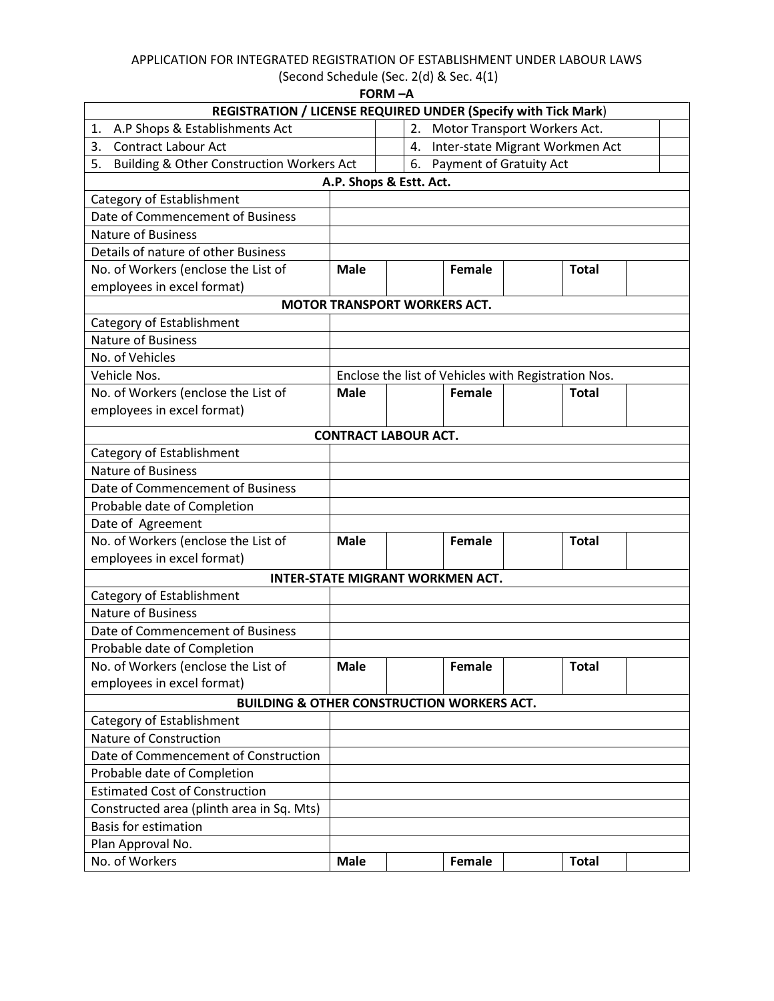## APPLICATION FOR INTEGRATED REGISTRATION OF ESTABLISHMENT UNDER LABOUR LAWS

| (Second Schedule (Sec. 2(d) & Sec. 4(1) |  |  |  |  |  |
|-----------------------------------------|--|--|--|--|--|
| EODM A                                  |  |  |  |  |  |

|                                                                               |                                                                       | FORM −A                             |        |                                                     |  |  |  |
|-------------------------------------------------------------------------------|-----------------------------------------------------------------------|-------------------------------------|--------|-----------------------------------------------------|--|--|--|
|                                                                               | <b>REGISTRATION / LICENSE REQUIRED UNDER (Specify with Tick Mark)</b> |                                     |        |                                                     |  |  |  |
| A.P Shops & Establishments Act<br>1.                                          |                                                                       | 2.                                  |        | Motor Transport Workers Act.                        |  |  |  |
| 3.<br><b>Contract Labour Act</b>                                              |                                                                       | 4.                                  |        | Inter-state Migrant Workmen Act                     |  |  |  |
| 6. Payment of Gratuity Act<br>5.<br>Building & Other Construction Workers Act |                                                                       |                                     |        |                                                     |  |  |  |
|                                                                               |                                                                       | A.P. Shops & Estt. Act.             |        |                                                     |  |  |  |
| Category of Establishment                                                     |                                                                       |                                     |        |                                                     |  |  |  |
| Date of Commencement of Business                                              |                                                                       |                                     |        |                                                     |  |  |  |
| <b>Nature of Business</b>                                                     |                                                                       |                                     |        |                                                     |  |  |  |
| Details of nature of other Business                                           |                                                                       |                                     |        |                                                     |  |  |  |
| No. of Workers (enclose the List of                                           | <b>Male</b>                                                           |                                     | Female | <b>Total</b>                                        |  |  |  |
| employees in excel format)                                                    |                                                                       |                                     |        |                                                     |  |  |  |
|                                                                               |                                                                       | <b>MOTOR TRANSPORT WORKERS ACT.</b> |        |                                                     |  |  |  |
| Category of Establishment                                                     |                                                                       |                                     |        |                                                     |  |  |  |
| <b>Nature of Business</b>                                                     |                                                                       |                                     |        |                                                     |  |  |  |
| No. of Vehicles                                                               |                                                                       |                                     |        |                                                     |  |  |  |
| Vehicle Nos.                                                                  |                                                                       |                                     |        | Enclose the list of Vehicles with Registration Nos. |  |  |  |
| No. of Workers (enclose the List of                                           | <b>Male</b>                                                           |                                     | Female | <b>Total</b>                                        |  |  |  |
| employees in excel format)                                                    |                                                                       |                                     |        |                                                     |  |  |  |
| <b>CONTRACT LABOUR ACT.</b>                                                   |                                                                       |                                     |        |                                                     |  |  |  |
| Category of Establishment                                                     |                                                                       |                                     |        |                                                     |  |  |  |
| <b>Nature of Business</b>                                                     |                                                                       |                                     |        |                                                     |  |  |  |
| Date of Commencement of Business                                              |                                                                       |                                     |        |                                                     |  |  |  |
| Probable date of Completion                                                   |                                                                       |                                     |        |                                                     |  |  |  |
| Date of Agreement                                                             |                                                                       |                                     |        |                                                     |  |  |  |
| No. of Workers (enclose the List of                                           | <b>Male</b>                                                           |                                     | Female | <b>Total</b>                                        |  |  |  |
| employees in excel format)                                                    |                                                                       |                                     |        |                                                     |  |  |  |
| <b>INTER-STATE MIGRANT WORKMEN ACT.</b>                                       |                                                                       |                                     |        |                                                     |  |  |  |
| Category of Establishment                                                     |                                                                       |                                     |        |                                                     |  |  |  |
| <b>Nature of Business</b>                                                     |                                                                       |                                     |        |                                                     |  |  |  |
| Date of Commencement of Business                                              |                                                                       |                                     |        |                                                     |  |  |  |
| Probable date of Completion                                                   |                                                                       |                                     |        |                                                     |  |  |  |
| No. of Workers (enclose the List of                                           | <b>Male</b>                                                           |                                     | Female | <b>Total</b>                                        |  |  |  |
| employees in excel format)                                                    |                                                                       |                                     |        |                                                     |  |  |  |
| <b>BUILDING &amp; OTHER CONSTRUCTION WORKERS ACT.</b>                         |                                                                       |                                     |        |                                                     |  |  |  |
| Category of Establishment                                                     |                                                                       |                                     |        |                                                     |  |  |  |
| Nature of Construction                                                        |                                                                       |                                     |        |                                                     |  |  |  |
| Date of Commencement of Construction                                          |                                                                       |                                     |        |                                                     |  |  |  |
| Probable date of Completion                                                   |                                                                       |                                     |        |                                                     |  |  |  |
| <b>Estimated Cost of Construction</b>                                         |                                                                       |                                     |        |                                                     |  |  |  |
| Constructed area (plinth area in Sq. Mts)                                     |                                                                       |                                     |        |                                                     |  |  |  |
| <b>Basis for estimation</b>                                                   |                                                                       |                                     |        |                                                     |  |  |  |
| Plan Approval No.                                                             |                                                                       |                                     |        |                                                     |  |  |  |
| No. of Workers                                                                | <b>Male</b>                                                           |                                     | Female | <b>Total</b>                                        |  |  |  |